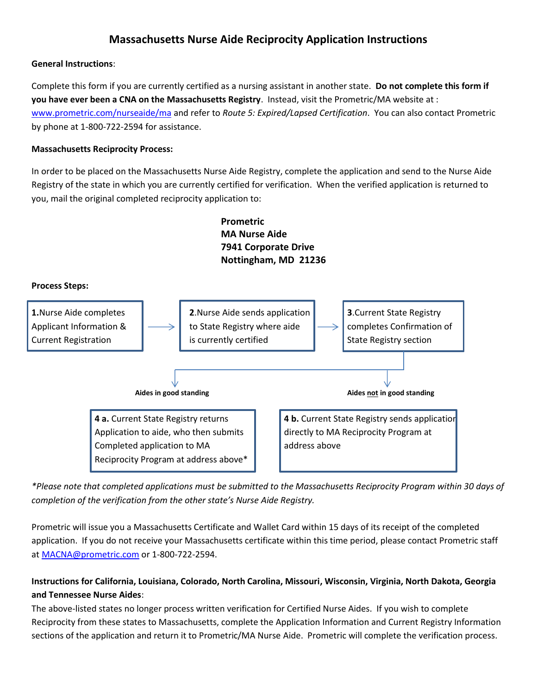# **Massachusetts Nurse Aide Reciprocity Application Instructions**

### **General Instructions**:

Complete this form if you are currently certified as a nursing assistant in another state. **Do not complete this form if you have ever been a CNA on the Massachusetts Registry**. Instead, visit the Prometric/MA website at : [www.prometric.com/nurseaide/ma](https://urldefense.com/v3/__http:/www.prometric.com/nurseaide/ma__;!!CUhgQOZqV7M!0FB4k0wELqsjHFVW6AhEGPyd4TX5yxAEnot6kGynlus-mcwj4hVcgJHSDgNfsyE2mopP59JXKI_XFg$) and refer to *Route 5: Expired/Lapsed Certification*. You can also contact Prometric by phone at 1-800-722-2594 for assistance.

### **Massachusetts Reciprocity Process:**

In order to be placed on the Massachusetts Nurse Aide Registry, complete the application and send to the Nurse Aide Registry of the state in which you are currently certified for verification. When the verified application is returned to you, mail the original completed reciprocity application to:



*\*Please note that completed applications must be submitted to the Massachusetts Reciprocity Program within 30 days of completion of the verification from the other state's Nurse Aide Registry.*

Prometric will issue you a Massachusetts Certificate and Wallet Card within 15 days of its receipt of the completed application. If you do not receive your Massachusetts certificate within this time period, please contact Prometric staff at [MACNA@prometric.com](mailto:MACNA@prometric.com) or 1-800-722-2594.

## **Instructions for California, Louisiana, Colorado, North Carolina, Missouri, Wisconsin, Virginia, North Dakota, Georgia and Tennessee Nurse Aides**:

The above-listed states no longer process written verification for Certified Nurse Aides. If you wish to complete Reciprocity from these states to Massachusetts, complete the Application Information and Current Registry Information sections of the application and return it to Prometric/MA Nurse Aide. Prometric will complete the verification process.